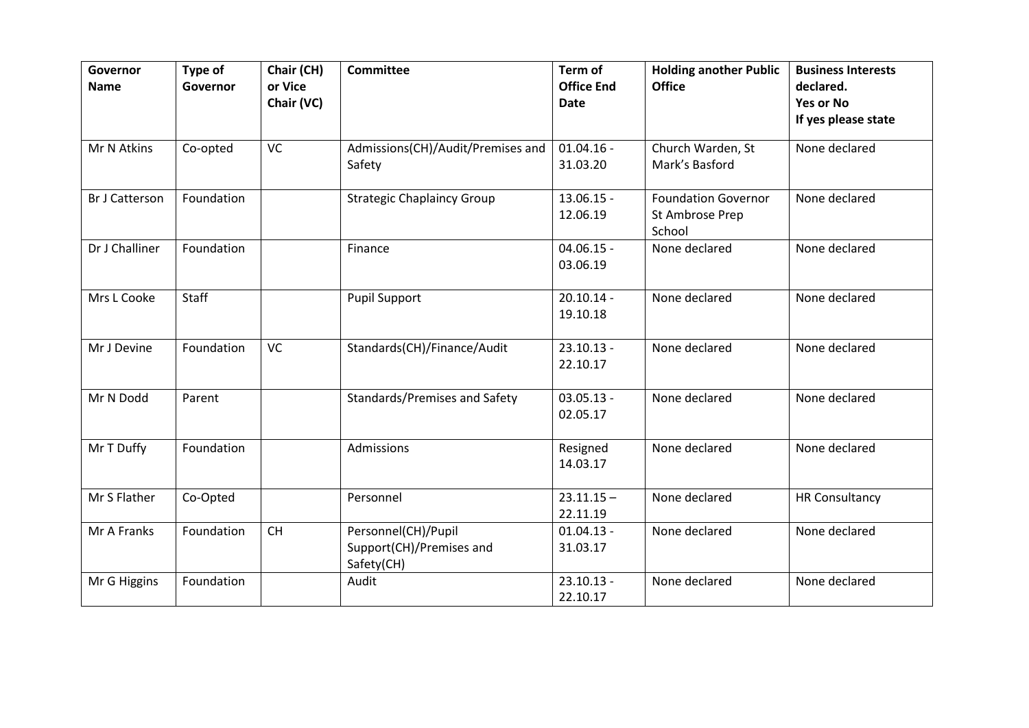| Governor<br><b>Name</b> | Type of<br>Governor | Chair (CH)<br>or Vice<br>Chair (VC) | <b>Committee</b>                                              | Term of<br><b>Office End</b><br><b>Date</b> | <b>Holding another Public</b><br><b>Office</b>          | <b>Business Interests</b><br>declared.<br><b>Yes or No</b><br>If yes please state |
|-------------------------|---------------------|-------------------------------------|---------------------------------------------------------------|---------------------------------------------|---------------------------------------------------------|-----------------------------------------------------------------------------------|
| Mr N Atkins             | Co-opted            | <b>VC</b>                           | Admissions(CH)/Audit/Premises and<br>Safety                   | $01.04.16 -$<br>31.03.20                    | Church Warden, St<br>Mark's Basford                     | None declared                                                                     |
| <b>Br J Catterson</b>   | Foundation          |                                     | <b>Strategic Chaplaincy Group</b>                             | $13.06.15 -$<br>12.06.19                    | <b>Foundation Governor</b><br>St Ambrose Prep<br>School | None declared                                                                     |
| Dr J Challiner          | Foundation          |                                     | Finance                                                       | $04.06.15 -$<br>03.06.19                    | None declared                                           | None declared                                                                     |
| Mrs L Cooke             | <b>Staff</b>        |                                     | <b>Pupil Support</b>                                          | $20.10.14 -$<br>19.10.18                    | None declared                                           | None declared                                                                     |
| Mr J Devine             | Foundation          | <b>VC</b>                           | Standards(CH)/Finance/Audit                                   | $23.10.13 -$<br>22.10.17                    | None declared                                           | None declared                                                                     |
| Mr N Dodd               | Parent              |                                     | Standards/Premises and Safety                                 | $03.05.13 -$<br>02.05.17                    | None declared                                           | None declared                                                                     |
| Mr T Duffy              | Foundation          |                                     | Admissions                                                    | Resigned<br>14.03.17                        | None declared                                           | None declared                                                                     |
| Mr S Flather            | Co-Opted            |                                     | Personnel                                                     | $23.11.15 -$<br>22.11.19                    | None declared                                           | <b>HR Consultancy</b>                                                             |
| Mr A Franks             | Foundation          | <b>CH</b>                           | Personnel(CH)/Pupil<br>Support(CH)/Premises and<br>Safety(CH) | $01.04.13 -$<br>31.03.17                    | None declared                                           | None declared                                                                     |
| Mr G Higgins            | Foundation          |                                     | Audit                                                         | $23.10.13 -$<br>22.10.17                    | None declared                                           | None declared                                                                     |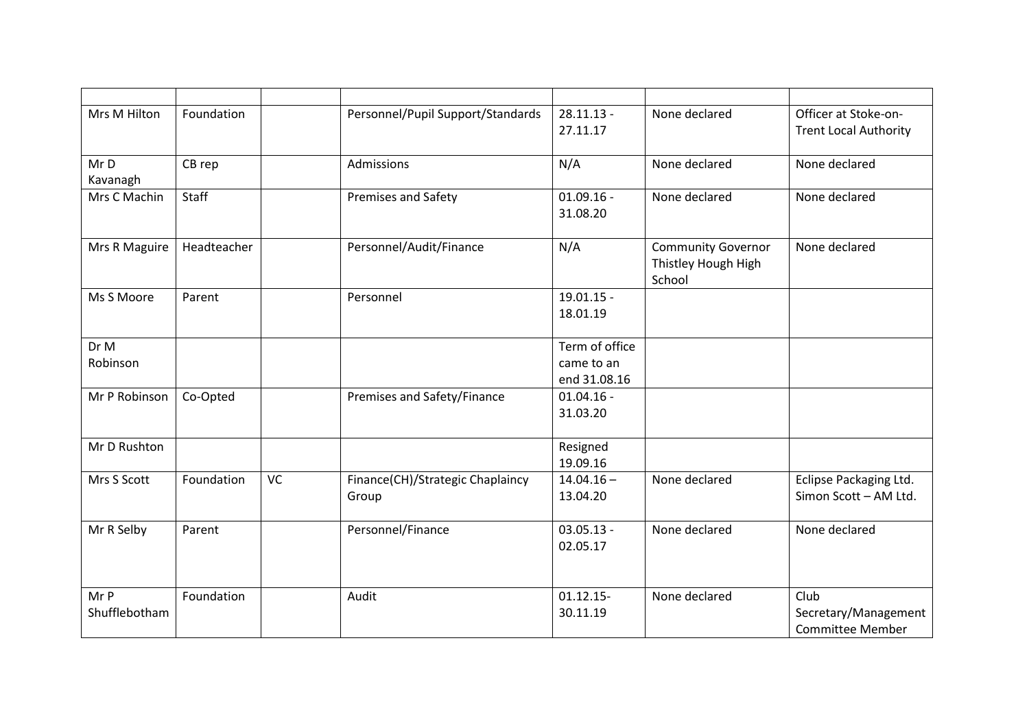| Mrs M Hilton          | Foundation  |    | Personnel/Pupil Support/Standards         | $28.11.13 -$<br>27.11.17                     | None declared                                              | Officer at Stoke-on-<br><b>Trent Local Authority</b>    |
|-----------------------|-------------|----|-------------------------------------------|----------------------------------------------|------------------------------------------------------------|---------------------------------------------------------|
| Mr D<br>Kavanagh      | CB rep      |    | Admissions                                | N/A                                          | None declared                                              | None declared                                           |
| Mrs C Machin          | Staff       |    | Premises and Safety                       | $01.09.16 -$<br>31.08.20                     | None declared                                              | None declared                                           |
| Mrs R Maguire         | Headteacher |    | Personnel/Audit/Finance                   | N/A                                          | <b>Community Governor</b><br>Thistley Hough High<br>School | None declared                                           |
| Ms S Moore            | Parent      |    | Personnel                                 | $19.01.15 -$<br>18.01.19                     |                                                            |                                                         |
| Dr M<br>Robinson      |             |    |                                           | Term of office<br>came to an<br>end 31.08.16 |                                                            |                                                         |
| Mr P Robinson         | Co-Opted    |    | Premises and Safety/Finance               | $01.04.16 -$<br>31.03.20                     |                                                            |                                                         |
| Mr D Rushton          |             |    |                                           | Resigned<br>19.09.16                         |                                                            |                                                         |
| Mrs S Scott           | Foundation  | VC | Finance(CH)/Strategic Chaplaincy<br>Group | $14.04.16 -$<br>13.04.20                     | None declared                                              | Eclipse Packaging Ltd.<br>Simon Scott - AM Ltd.         |
| Mr R Selby            | Parent      |    | Personnel/Finance                         | $03.05.13 -$<br>02.05.17                     | None declared                                              | None declared                                           |
| Mr P<br>Shufflebotham | Foundation  |    | Audit                                     | $01.12.15 -$<br>30.11.19                     | None declared                                              | Club<br>Secretary/Management<br><b>Committee Member</b> |